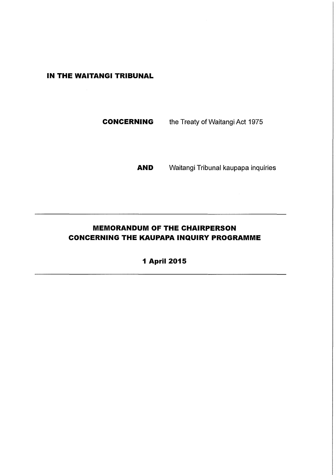## **IN THE WAITANGI TRIBUNAL**

**CONCERNING** the Treaty of Waitangi Act 1975

**AND** Waitangi Tribunal kaupapa inquiries

# **MEMORANDUM OF THE CHAIRPERSON CONCERNING THE KAUPAPA INQUIRY PROGRAMME**

**1 April 2015**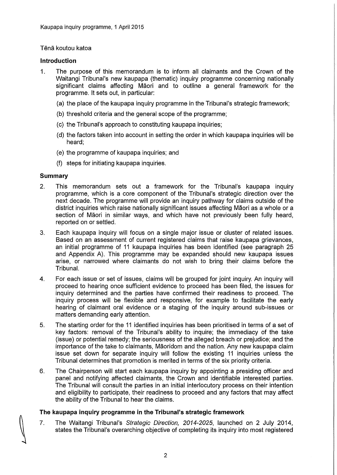#### Tena koutou katoa

#### **Introduction**

- 1. The purpose of this memorandum is to inform all claimants and the Crown of the Waitangi Tribunal's new kaupapa (thematic) inquiry programme concerning nationally significant claims affecting Māori and to outline a general framework for the programme. It sets out, in particular:
	- (a) the place of the kaupapa inquiry programme in the Tribunal's strategic framework;
	- (b) threshold criteria and the general scope of the programme;
	- (c) the Tribunal's approach to constituting kaupapa inquiries;
	- (d) the factors taken into account in setting the order in which kaupapa inquiries will be heard;
	- (e) the programme of kaupapa inquiries; and
	- (f) steps for initiating kaupapa inquiries.

#### **Summary**

- 2. This memorandum sets out a framework for the Tribunal's kaupapa inquiry programme, which is a core component of the Tribunal's strategic direction over the next decade. The programme will provide an inquiry pathway for claims outside of the district inquiries which raise nationally significant issues affecting Maori as a whole or a section of Māori in similar ways, and which have not previously been fully heard, reported on or settled.
- 3. Each kaupapa inquiry will focus on a single major issue or cluster of related issues. Based on an assessment of current registered claims that raise kaupapa grievances, an initial programme of 11 kaupapa inquiries has been identified (see paragraph 25 and Appendix A). This programme may be expanded should new kaupapa issues arise, or narrowed where claimants do not wish to bring their claims before the Tribunal.
- 4. For each issue or set of issues, claims will be grouped for joint inquiry. An inquiry will proceed to hearing once sufficient evidence to proceed has been filed, the issues for inquiry determined and the parties have confirmed their readiness to proceed. The inquiry process will be flexible and responsive, for example to facilitate the early hearing of claimant oral evidence or a staging of the inquiry around sub-issues or matters demanding early attention.
- 5. The starting order for the 11 identified inquiries has been prioritised in terms of a set of key factors: removal of the Tribunal's ability to inquire; the immediacy of the take (issue) or potential remedy; the seriousness of the alleged breach or prejudice; and the importance of the take to claimants, Maoridom and the nation. Any new kaupapa claim issue set down for separate inquiry will follow the existing 11 inquiries unless the Tribunal determines that promotion is merited in terms of the six priority criteria.
- 6. The Chairperson will start each kaupapa inquiry by appointing a presiding officer and panel and notifying affected claimants, the Crown and identifiable interested parties. The Tribunal will consult the parties in an initial interlocutory process on their intention and eligibility to participate, their readiness to proceed and any factors that may affect the ability of the Tribunal to hear the claims.

### **The kaupapa inquiry programme in the Tribunal's strategic framework**

7. The Waitangi Tribunal's Strategic Direction, 2014-2025, launched on 2 July 2014, states the Tribunal's overarching objective of completing its inquiry into most registered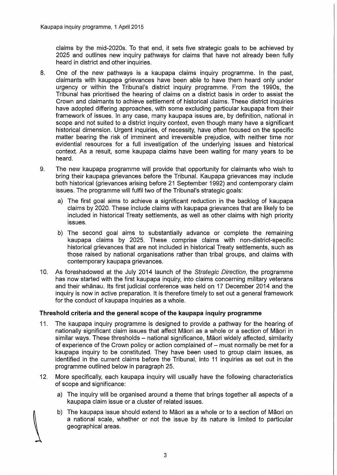claims by the mid-2020s. To that end, it sets five strategic goals to be achieved by 2025 and outlines new inquiry pathways for claims that have not already been fully heard in district and other inquiries.

- 8. One of the new pathways is a kaupapa claims inquiry programme. In the past, claimants with kaupapa grievances have been able to have them heard only under urgency or within the Tribunal's district inquiry programme. From the 1990s, the Tribunal has prioritised the hearing of claims on a district basis in order to assist the Crown and claimants to achieve settlement of historical claims. These district inquiries have adopted differing approaches, with some excluding particular kaupapa from their framework of issues. In any case, many kaupapa issues are, by definition, national in scope and not suited to a district inquiry context, even though many have a significant historical dimension. Urgent inquiries, of necessity, have often focused on the specific matter bearing the risk of imminent and irreversible prejudice, with neither time nor evidential resources for a full investigation of the underlying issues and historical context. As a result, some kaupapa claims have been waiting for many years to be heard.
- 9. The new kaupapa programme will provide that opportunity for claimants who wish to bring their kaupapa grievances before the Tribunal. Kaupapa grievances may include both historical (grievances arising before 21 September 1992) and contemporary claim issues. The programme will fulfil two of the Tribunal's strategic goals:
	- a) The first goal aims to achieve a significant reduction in the backlog of kaupapa claims by 2020. These include claims with kaupapa grievances that are likely to be included in historical Treaty settlements, as well as other claims with high priority issues.
	- b) The second goal aims to substantially advance or complete the remaining kaupapa claims by 2025. These comprise claims with non-district-specific historical grievances that are not included in historical Treaty settlements, such as those raised by national organisations rather than tribal groups, and claims with contemporary kaupapa grievances.
- 10. As foreshadowed at the July 2014 launch of the Strategic Direction, the programme has now started with the first kaupapa inquiry, into claims concerning military veterans and their whanau. Its first judicial conference was held on 17 December 2014 and the inquiry is now in active preparation. It is therefore timely to set out a general framework for the conduct of kaupapa inquiries as a whole.

#### Threshold criteria and the general scope of the kaupapa inquiry programme

- 11. The kaupapa inquiry programme is designed to provide a pathway for the hearing of nationally significant claim issues that affect Maori as a whole or a section of Maori in similar ways. These thresholds - national significance, Māori widely affected, similarity of experience of the Crown policy or action complained of  $-$  must normally be met for a kaupapa inquiry to be constituted. They have been used to group claim issues, as identified in the current claims before the Tribunal, into 11 inquiries as set out in the programme outlined below in paragraph 25.
- 12. More specifically, each kaupapa inquiry will usually have the following characteristics of scope and significance:
	- a) The inquiry will be organised around a theme that brings together all aspects of a kaupapa claim issue or a cluster of related issues.
	- b) The kaupapa issue should extend to Maori as a whole or to a section of Maori on a national scale, whether or not the issue by its nature is limited to particular geographical areas.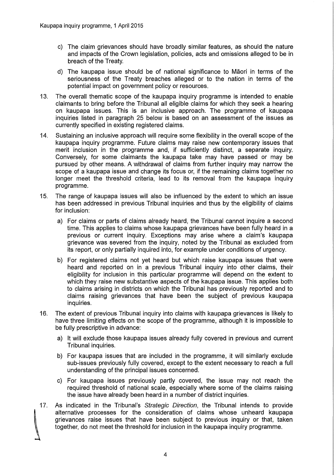- c) The claim grievances should have broadly similar features, as should the nature and impacts of the Crown legislation, policies, acts and omissions alleged to be in breach of the Treaty.
- d) The kaupapa issue should be of national significance to Maori in terms of the seriousness of the Treaty breaches alleged or to the nation in terms of the potential impact on government policy or resources.
- 13. The overall thematic scope of the kaupapa inquiry programme is intended to enable claimants to bring before the Tribunal all eligible claims for which they seek a hearing on kaupapa issues. This is an inclusive approach. The programme of kaupapa inquiries listed in paragraph 25 below is based on an assessment of the issues as currently specified in existing registered claims.
- 14. Sustaining an inclusive approach will require some flexibility in the overall scope of the kaupapa inquiry programme. Future claims may raise new contemporary issues that merit inclusion in the programme and, if sufficiently distinct, a separate inquiry. Conversely, for some claimants the kaupapa take may have passed or may be pursued by other means. A withdrawal of claims from further inquiry may narrow the scope of a kaupapa issue and change its focus or, if the remaining claims together no longer meet the threshold criteria, lead to its removal from the kaupapa inquiry programme.
- 15. The range of kaupapa issues will also be influenced by the extent to which an issue has been addressed in previous Tribunal inquiries and thus by the eligibility of claims for inclusion:
	- a) For claims or parts of claims already heard, the Tribunal cannot inquire a second time. This applies to claims whose kaupapa grievances have been fully heard in a previous or current inquiry. Exceptions may arise where a claim's kaupapa grievance was severed from the inquiry, noted by the Tribunal as excluded from its report, or only partially inquired into, for example under conditions of urgency.
	- b) For registered claims not yet heard but which raise kaupapa issues that were heard and reported on in a previous Tribunal inquiry into other claims, their eligibility for inclusion in this particular programme will depend on the extent to which they raise new substantive aspects of the kaupapa issue. This applies both to claims arising in districts on which the Tribunal has previously reported and to claims raising grievances that have been the subject of previous kaupapa inquiries.
- 16. The extent of previous Tribunal inquiry into claims with kaupapa grievances is likely to have three limiting effects on the scope of the programme, although it is impossible to be fully prescriptive in advance:
	- a) It will exclude those kaupapa issues already fully covered in previous and current Tribunal inquiries.
	- b) For kaupapa issues that are included in the programme, it will similarly exclude sub-issues previously fully covered, except to the extent necessary to reach a full understanding of the principal issues concerned.
	- c) For kaupapa issues previously partly covered, the issue may not reach the required threshold of national scale, especially where some of the claims raising the issue have already been heard in a number of district inquiries.
- 17. As indicated in the Tribunal's Strategic Direction, the Tribunal intends to provide alternative processes for the consideration of claims whose unheard kaupapa grievances raise issues that have been subject to previous inquiry or that, taken together, do not meet the threshold for inclusion in the kaupapa inquiry programme.

 $\overline{a}$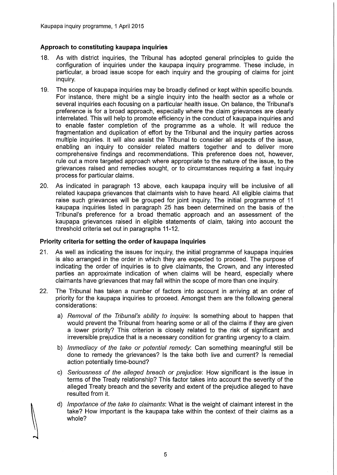#### **Approach to constituting kaupapa inquiries**

- 18. As with district inquiries, the Tribunal has adopted general principles to guide the configuration of inquiries under the kaupapa inquiry programme. These include, in particular, a broad issue scope for each inquiry and the grouping of claims for joint inquiry.
- 19. The scope **of** kaupapa inquiries may be broadly defined or kept within specific bounds. For instance, there might be a single inquiry into the health sector as a whole or several inquiries each focusing on a particular health issue. On balance, the Tribunal's preference is for a broad approach, especially where the claim grievances are clearly interrelated. This will help to promote efficiency in the conduct **of** kaupapa inquiries and to enable faster completion of the programme as a whole. It will reduce the fragmentation and duplication of effort by the Tribunal and the inquiry parties across multiple inquiries. It will also assist the Tribunal to consider all aspects of the issue, enabling an inquiry to consider related matters together and to deliver more comprehensive findings and recommendations. This preference does not, however, rule out a more targeted approach where appropriate to the nature of the issue, to the grievances raised and remedies sought, or to circumstances requiring a fast inquiry process for particular claims.
- 20. As indicated in paragraph 13 above, each kaupapa inquiry will be inclusive of all related kaupapa grievances that claimants wish to have heard. All eligible claims that raise such grievances will be grouped for joint inquiry. The initial programme of 11 kaupapa inquiries listed in paragraph 25 has been determined on the basis of the Tribunal's preference for a broad thematic approach and an assessment of the kaupapa grievances raised in eligible statements of claim, taking into account the threshold criteria set out in paragraphs 11-12.

#### **Priority criteria for setting the order of kaupapa inquiries**

- 21. As well as indicating the issues for inquiry, the initial programme of kaupapa inquiries is also arranged in the order in which they are expected to proceed. The purpose of indicating the order of inquiries is to give claimants, the Crown, and any interested parties an approximate indication of when claims will be heard, especially where claimants have grievances that may fall within the scope of more than one inquiry.
- 22. The Tribunal has taken a number of factors into account in arriving at an order of priority for the kaupapa inquiries to proceed. Amongst them are the following general considerations:
	- a) Removal of the Tribunal's ability to inquire: Is something about to happen that would prevent the Tribunal from hearing some or all of the claims if they are given a lower priority? This criterion is closely related to the risk of significant and irreversible prejudice that is a necessary condition for granting urgency to a claim.
	- b) Immediacy of the take or potential remedy: Can something meaningful still be done to remedy the grievances? Is the take both live and current? Is remedial action potentially time-bound?
	- c) Seriousness of the alleged breach or prejudice: How significant is the issue in terms of the Treaty relationship? This factor takes into account the severity of the alleged Treaty breach and the severity and extent of the prejudice alleged to have resulted from it.
	- d) Importance of the take to claimants: What is the weight of claimant interest in the take? How important is the kaupapa take within the context of their claims as a whole?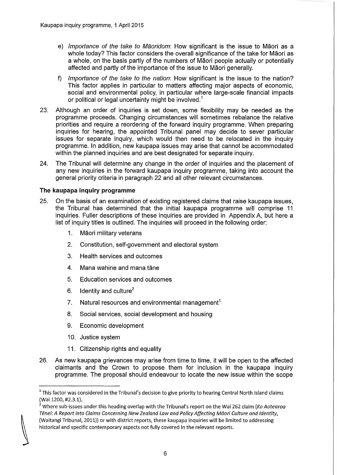- e) Importance of the take to Maoridom: How significant is the issue to Maori as a whole today? This factor considers the overall significance of the take for Maori as a whole, on the basis partly of the numbers of Maori people actually or potentially affected and partly of the importance of the issue to Maori generally.
- f) Importance of the take to the nation: How significant is the issue to the nation? This factor applies in particular to matters affecting major aspects of economic, social and environmental policy, in particular where large-scale financial impacts or political or legal uncertainty might be involved.<sup>1</sup>
- 23. Although an order of inquiries is set down, some flexibility may be needed as the programme proceeds. Changing circumstances will sometimes rebalance the relative priorities and require a reordering of the forward inquiry programme. When preparing inquiries for hearing, the appointed Tribunal panel may decide to sever particular issues for separate inquiry, which would then need to be relocated in the inquiry programme. In addition, new kaupapa issues may arise that cannot be accommodated within the planned inquiries and are best designated for separate inquiry.
- 24. The Tribunal will determine any change in the order of inquiries and the placement of any new inquiries in the forward kaupapa inquiry programme, taking into account the general priority criteria in paragraph 22 and all other relevant circumstances.

#### **The kaupapa inquiry programme**

- 25. On the basis of an examination of existing registered claims that raise kaupapa issues, the Tribunal has determined that the initial kaupapa programme will comprise 11 inquiries. Fuller descriptions of these inquiries are provided in Appendix A, but here a list of inquiry titles is outlined. The inquiries will proceed in the following order:
	- 1. Maori military veterans
	- 2. Constitution, self-government and electoral system
	- 3. Health services and outcomes
	- 4. Mana wahine and mana tane
	- 5. Education services and outcomes
	- 6. Identity and culture<sup>2</sup>
	- 7. Natural resources and environmental management<sup>1</sup>
	- 8. Social services, social development and housing
	- 9. Economic development
	- 10. Justice system
	- 11. Citizenship rights and equality
- 26. As new kaupapa grievances may arise from time to time, it will be open to the affected claimants and the Crown to propose them for inclusion in the kaupapa inquiry programme. The proposal should endeavour to locate the new issue within the scope

 $1$  This factor was considered in the Tribunal's decision to give priority to hearing Central North Island claims (Wai 1200, #2.3.1).

<sup>&</sup>lt;sup>2</sup> Where sub-issues under this heading overlap with the Tribunal's report on the Wai 262 claim (Ko Aotearoa Tenei: A Report into Claims Concerning New Zealand Law and Policy Affecting Maori Culture and Identity, (Waitangi Tribunal, 2011)) or with district reports, these kaupapa inquiries will be limited to addressing historical and specific contemporary aspects not fully covered in the relevant reports.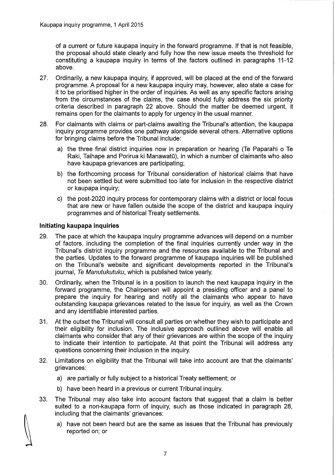of a current or future kaupapa inquiry in the forward programme. If that is not feasible, the proposal should state clearly and fully how the new issue meets the threshold for constituting a kaupapa inquiry in terms of the factors outlined in paragraphs 11-12 above.

- 27. Ordinarily, a new kaupapa inquiry, if approved, will be placed at the end of the forward programme. A proposal for a new kaupapa inquiry may, however, also state a case for it to be prioritised higher in the order of inquiries. As well as any specific factors arising from the circumstances of the claims, the case should fully address the six priority criteria described in paragraph 22 above. Should the matter be deemed urgent, it remains open for the claimants to apply for urgency in the usual manner.
- 28. For claimants with claims or part-claims awaiting the Tribunal's attention, the kaupapa inquiry programme provides one pathway alongside several others. Alternative options for bringing claims before the Tribunal include:
	- a) the three final district inquiries now in preparation or hearing (Te Paparahi 0 Te Raki, Taihape and Porirua ki Manawatū), in which a number of claimants who also have kaupapa grievances are participating;
	- b) the forthcoming process for Tribunal consideration of historical claims that have not been settled but were submitted too late for inclusion in the respective district or kaupapa inquiry;
	- c) the post-2020 inquiry process for contemporary claims with a district or local focus that are new or have fallen outside the scope of the district and kaupapa inquiry programmes and of historical Treaty settlements.

#### **Initiating kaupapa inquiries**

- 29. The pace at which the kaupapa inquiry programme advances will depend on a number of factors, including the completion of the final inquiries currently under way in the Tribunal's district inquiry programme and the resources available to the Tribunal and the parties. Updates to the forward programme of kaupapa inquiries will be published on the Tribunal's website and significant developments reported in the Tribunal's journal, Te Manutukutuku, which is published twice yearly.
- 30. Ordinarily, when the Tribunal is in a position to launch the next kaupapa inquiry in the forward programme, the Chairperson will appoint a presiding officer and a panel to prepare the inquiry for hearing and notify all the claimants who appear to have outstanding kaupapa grievances related to the issue for inquiry, as well as the Crown and any identifiable interested parties.
- 31. At the outset the Tribunal will consult all parties on whether they wish to participate and their eligibility for inclusion. The inclusive approach outlined above will enable all claimants who consider that any of their grievances are within the scope of the inquiry to indicate their intention to participate. At that point the Tribunal will address any questions concerning their inclusion in the inquiry.
- 32. Limitations on eligibility that the Tribunal will take into account are that the claimants' grievances:
	- a) are partially or fully subject to a historical Treaty settlement; or
	- b) have been heard in a previous or current Tribunal inquiry.
- 33. The Tribunal may also take into account factors that suggest that a claim is better suited to a non-kaupapa form of inquiry, such as those indicated in paragraph 28, including that the claimants' grievances:
	- a) have not been heard but are the same as issues that the Tribunal has previously reported on; or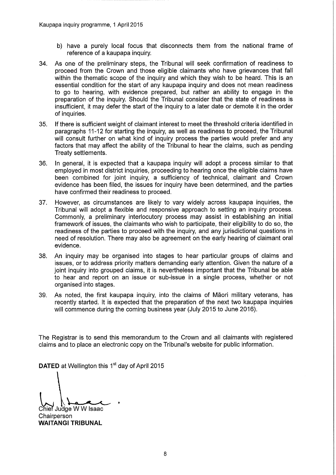- b) have a purely local focus that disconnects them from the national frame of reference of a kaupapa inquiry.
- 34. As one of the preliminary steps, the Tribunal will seek confirmation of readiness to proceed from the Crown and those eligible claimants who have grievances that fall within the thematic scope of the inquiry and which they wish to be heard. This is an essential condition for the start of any kaupapa inquiry and does not mean readiness to go to hearing, with evidence prepared, but rather an ability to engage in the preparation of the inquiry. Should the Tribunal consider that the state of readiness is insufficient, it may defer the start of the inquiry to a later date or demote it in the order of inquiries.
- 35. If there is sufficient weight of claimant interest to meet the threshold criteria identified in paragraphs 11-12 for starting the inquiry, as well as readiness to proceed, the Tribunal will consult further on what kind of inquiry process the parties would prefer and any factors that may affect the ability of the Tribunal to hear the claims, such as pending Treaty settlements.
- 36. In general, it is expected that a kaupapa inquiry will adopt a process similar to that employed in most district inquiries, proceeding to hearing once the eligible claims have been combined for joint inquiry, a sufficiency of technical, claimant and Crown evidence has been filed, the issues for inquiry have been determined, and the parties have confirmed their readiness to proceed.
- 37. However, as circumstances are likely to vary widely across kaupapa inquiries, the Tribunal will adopt a flexible and responsive approach to setting an inquiry process. Commonly, a preliminary interlocutory process may assist in establishing an initial framework of issues, the claimants who wish to participate, their eligibility to do so, the readiness of the parties to proceed with the inquiry, and any jurisdictional questions in need of resolution. There may also be agreement on the early hearing of claimant oral evidence.
- 38. An inquiry may be organised into stages to hear particular groups of claims and issues, or to address priority matters demanding early attention. Given the nature of a joint inquiry into grouped claims, it is nevertheless important that the Tribunal be able to hear and report on an issue or sub-issue in a single process, whether or not organised into stages.
- 39. As noted, the first kaupapa inquiry, into the claims of Maori military veterans, has recently started. It is expected that the preparation of the next two kaupapa inquiries will commence during the coming business year (July 2015 to June 2016).

The Registrar is to send this memorandum to the Crown and all claimants with registered claims and to place an electronic copy on the Tribunal's website for public information.

**DATED** at Wellington this 1<sup>st</sup> day of April 2015

Chief Judge W W Isaac **Chairperson WAITANGI TRIBUNAL**